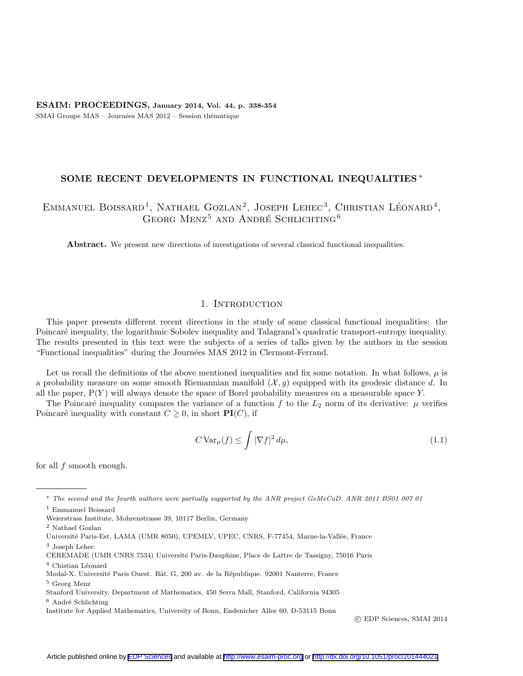ESAIM: PROCEEDINGS, January 2014, Vol. 44, p. 338-354 SMAI Groupe MAS – Journées MAS 2012 – Session thématique

### SOME RECENT DEVELOPMENTS IN FUNCTIONAL INEQUALITIES <sup>∗</sup>

# EMMANUEL BOISSARD<sup>1</sup>, NATHAEL GOZLAN<sup>2</sup>, JOSEPH LEHEC<sup>3</sup>, CHRISTIAN LÉONARD<sup>4</sup>,  $G$ EORG MENZ<sup>5</sup> AND ANDRÉ SCHLICHTING<sup>6</sup>

Abstract. We present new directions of investigations of several classical functional inequalities.

### 1. INTRODUCTION

This paper presents different recent directions in the study of some classical functional inequalities: the Poincaré inequality, the logarithmic Sobolev inequality and Talagrand's quadratic transport-entropy inequality. The results presented in this text were the subjects of a series of talks given by the authors in the session "Functional inequalities" during the Journées MAS 2012 in Clermont-Ferrand.

Let us recall the definitions of the above mentioned inequalities and fix some notation. In what follows,  $\mu$  is a probability measure on some smooth Riemannian manifold  $(\mathcal{X}, g)$  equipped with its geodesic distance d. In all the paper,  $P(Y)$  will always denote the space of Borel probability measures on a measurable space Y.

The Poincaré inequality compares the variance of a function f to the  $L_2$  norm of its derivative:  $\mu$  verifies Poincaré inequality with constant  $C \geq 0$ , in short **PI**(C), if

<span id="page-0-0"></span>
$$
C \operatorname{Var}_{\mu}(f) \le \int |\nabla f|^2 \, d\mu,\tag{1.1}
$$

for all f smooth enough.

- Stanford University, Department of Mathematics, 450 Serra Mall, Stanford, California 94305
- $6$  André Schlichting

c EDP Sciences, SMAI 2014

<sup>∗</sup> The second and the fourth authors were partially supported by the ANR project GeMeCoD. ANR 2011 BS01 007 01

<sup>&</sup>lt;sup>1</sup> Emmanuel Boissard

Weierstrass Institute, Mohrenstrasse 39, 10117 Berlin, Germany

<sup>2</sup> Nathael Gozlan

Université Paris-Est, LAMA (UMR 8050), UPEMLV, UPEC, CNRS, F-77454, Marne-la-Vallée, France

<sup>3</sup> Joseph Lehec

CEREMADE (UMR CNRS 7534) Université Paris-Dauphine, Place de Lattre de Tassigny, 75016 Paris

 $4$  Chistian Léonard

Modal-X. Université Paris Ouest. Bât. G, 200 av. de la République. 92001 Nanterre, France

<sup>5</sup> Georg Menz

Institute for Applied Mathematics, University of Bonn, Endenicher Allee 60, D-53115 Bonn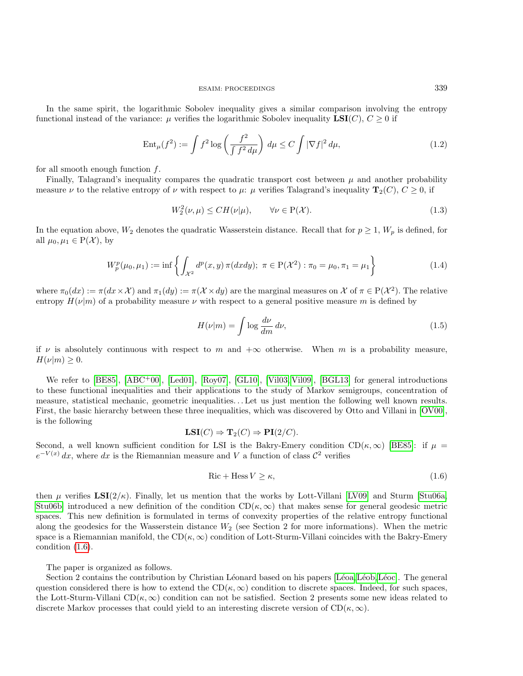In the same spirit, the logarithmic Sobolev inequality gives a similar comparison involving the entropy functional instead of the variance:  $\mu$  verifies the logarithmic Sobolev inequality  $LSI(C)$ ,  $C>0$  if

$$
\operatorname{Ent}_{\mu}(f^2) := \int f^2 \log \left( \frac{f^2}{\int f^2 d\mu} \right) d\mu \le C \int |\nabla f|^2 d\mu, \tag{1.2}
$$

for all smooth enough function  $f$ .

Finally, Talagrand's inequality compares the quadratic transport cost between  $\mu$  and another probability measure  $\nu$  to the relative entropy of  $\nu$  with respect to  $\mu$ :  $\mu$  verifies Talagrand's inequality  $\mathbf{T}_2(C), C \geq 0$ , if

<span id="page-1-3"></span>
$$
W_2^2(\nu,\mu) \le CH(\nu|\mu), \qquad \forall \nu \in P(\mathcal{X}).\tag{1.3}
$$

In the equation above,  $W_2$  denotes the quadratic Wasserstein distance. Recall that for  $p \geq 1$ ,  $W_p$  is defined, for all  $\mu_0, \mu_1 \in P(\mathcal{X})$ , by

<span id="page-1-1"></span>
$$
W_p^p(\mu_0, \mu_1) := \inf \left\{ \int_{\mathcal{X}^2} d^p(x, y) \, \pi(dxdy); \ \pi \in \mathcal{P}(\mathcal{X}^2) : \pi_0 = \mu_0, \pi_1 = \mu_1 \right\} \tag{1.4}
$$

where  $\pi_0(dx) := \pi(dx \times \mathcal{X})$  and  $\pi_1(dy) := \pi(\mathcal{X} \times dy)$  are the marginal measures on  $\mathcal{X}$  of  $\pi \in \mathrm{P}(\mathcal{X}^2)$ . The relative entropy  $H(\nu|m)$  of a probability measure  $\nu$  with respect to a general positive measure m is defined by

<span id="page-1-2"></span>
$$
H(\nu|m) = \int \log \frac{d\nu}{dm} \, d\nu,\tag{1.5}
$$

if v is absolutely continuous with respect to m and  $+\infty$  otherwise. When m is a probability measure,  $H(\nu|m) \geq 0.$ 

We refer to [\[BE85\]](#page-15-0), [\[ABC](#page-15-1)<sup>+</sup>00], [\[Led01\]](#page-16-0), [\[Roy07\]](#page-16-1), [\[GL10\]](#page-16-2), [\[Vil03,](#page-16-3) [Vil09\]](#page-16-4), [\[BGL13\]](#page-15-2) for general introductions to these functional inequalities and their applications to the study of Markov semigroups, concentration of measure, statistical mechanic, geometric inequalities. . . Let us just mention the following well known results. First, the basic hierarchy between these three inequalities, which was discovered by Otto and Villani in [\[OV00\]](#page-16-5), is the following

$$
LSI(C) \Rightarrow T_2(C) \Rightarrow PI(2/C).
$$

Second, a well known sufficient condition for LSI is the Bakry-Emery condition  $CD(\kappa, \infty)$  [\[BE85\]](#page-15-0): if  $\mu =$  $e^{-V(x)} dx$ , where dx is the Riemannian measure and V a function of class  $\mathcal{C}^2$  verifies

<span id="page-1-0"></span>
$$
Ric + Hess V \ge \kappa,\tag{1.6}
$$

then  $\mu$  verifies LSI(2/ $\kappa$ ). Finally, let us mention that the works by Lott-Villani [\[LV09\]](#page-16-6) and Sturm [\[Stu06a,](#page-16-7) [Stu06b\]](#page-16-8) introduced a new definition of the condition  $CD(\kappa, \infty)$  that makes sense for general geodesic metric spaces. This new definition is formulated in terms of convexity properties of the relative entropy functional along the geodesics for the Wasserstein distance  $W_2$  (see Section 2 for more informations). When the metric space is a Riemannian manifold, the  $CD(\kappa, \infty)$  condition of Lott-Sturm-Villani coincides with the Bakry-Emery condition [\(1.6\)](#page-1-0).

The paper is organized as follows.

Section 2 contains the contribution by Christian Léonard based on his papers [Léoa,Léob,Léoc]. The general question considered there is how to extend the  $CD(\kappa, \infty)$  condition to discrete spaces. Indeed, for such spaces, the Lott-Sturm-Villani  $CD(\kappa, \infty)$  condition can not be satisfied. Section 2 presents some new ideas related to discrete Markov processes that could yield to an interesting discrete version of  $CD(\kappa, \infty)$ .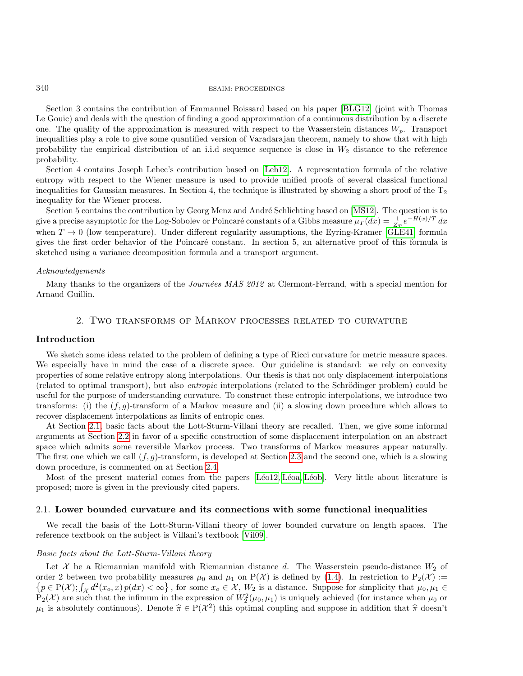Section 3 contains the contribution of Emmanuel Boissard based on his paper [\[BLG12\]](#page-15-3) (joint with Thomas Le Gouic) and deals with the question of finding a good approximation of a continuous distribution by a discrete one. The quality of the approximation is measured with respect to the Wasserstein distances  $W_p$ . Transport inequalities play a role to give some quantified version of Varadarajan theorem, namely to show that with high probability the empirical distribution of an i.i.d sequence sequence is close in  $W_2$  distance to the reference probability.

Section 4 contains Joseph Lehec's contribution based on [\[Leh12\]](#page-16-12). A representation formula of the relative entropy with respect to the Wiener measure is used to provide unified proofs of several classical functional inequalities for Gaussian measures. In Section 4, the technique is illustrated by showing a short proof of the  $T<sub>2</sub>$ inequality for the Wiener process.

Section 5 contains the contribution by Georg Menz and André Schlichting based on [\[MS12\]](#page-16-13). The question is to give a precise asymptotic for the Log-Sobolev or Poincaré constants of a Gibbs measure  $\mu_T(dx) = \frac{1}{Z_T} e^{-H(x)/T} dx$ when  $T \to 0$  (low temperature). Under different regularity assumptions, the Eyring-Kramer [\[GLE41\]](#page-16-14) formula gives the first order behavior of the Poincaré constant. In section 5, an alternative proof of this formula is sketched using a variance decomposition formula and a transport argument.

#### Acknowledgements

Many thanks to the organizers of the *Journées MAS 2012* at Clermont-Ferrand, with a special mention for Arnaud Guillin.

### 2. Two transforms of Markov processes related to curvature

### Introduction

We sketch some ideas related to the problem of defining a type of Ricci curvature for metric measure spaces. We especially have in mind the case of a discrete space. Our guideline is standard: we rely on convexity properties of some relative entropy along interpolations. Our thesis is that not only displacement interpolations (related to optimal transport), but also *entropic* interpolations (related to the Schrödinger problem) could be useful for the purpose of understanding curvature. To construct these entropic interpolations, we introduce two transforms: (i) the  $(f, q)$ -transform of a Markov measure and (ii) a slowing down procedure which allows to recover displacement interpolations as limits of entropic ones.

At Section [2.1,](#page-2-0) basic facts about the Lott-Sturm-Villani theory are recalled. Then, we give some informal arguments at Section [2.2](#page-4-0) in favor of a specific construction of some displacement interpolation on an abstract space which admits some reversible Markov process. Two transforms of Markov measures appear naturally. The first one which we call  $(f, q)$ -transform, is developed at Section [2.3](#page-6-0) and the second one, which is a slowing down procedure, is commented on at Section [2.4.](#page-8-0)

Most of the present material comes from the papers [Léo12, Léoa, Léob]. Very little about literature is proposed; more is given in the previously cited papers.

### <span id="page-2-0"></span>2.1. Lower bounded curvature and its connections with some functional inequalities

We recall the basis of the Lott-Sturm-Villani theory of lower bounded curvature on length spaces. The reference textbook on the subject is Villani's textbook [\[Vil09\]](#page-16-4).

### Basic facts about the Lott-Sturm-Villani theory

Let  $\mathcal X$  be a Riemannian manifold with Riemannian distance d. The Wasserstein pseudo-distance  $W_2$  of order 2 between two probability measures  $\mu_0$  and  $\mu_1$  on  $P(\mathcal{X})$  is defined by [\(1.4\)](#page-1-1). In restriction to  $P_2(\mathcal{X}) :=$  $\{p \in P(\mathcal{X}); \int_{\mathcal{X}} d^2(x_o, x) p(dx) < \infty\},\$ for some  $x_o \in \mathcal{X}, W_2$  is a distance. Suppose for simplicity that  $\mu_0, \mu_1 \in$  $P_2(\mathcal{X})$  are such that the infimum in the expression of  $W_2^2(\mu_0, \mu_1)$  is uniquely achieved (for instance when  $\mu_0$  or  $\mu_1$  is absolutely continuous). Denote  $\hat{\pi} \in P(\mathcal{X}^2)$  this optimal coupling and suppose in addition that  $\hat{\pi}$  doesn't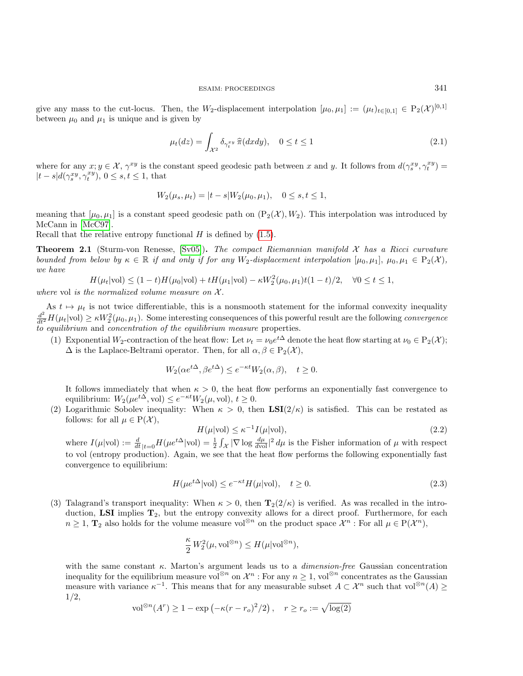give any mass to the cut-locus. Then, the W<sub>2</sub>-displacement interpolation  $[\mu_0, \mu_1] := (\mu_t)_{t \in [0,1]} \in P_2(\mathcal{X})^{[0,1]}$ between  $\mu_0$  and  $\mu_1$  is unique and is given by

<span id="page-3-1"></span>
$$
\mu_t(dz) = \int_{\mathcal{X}^2} \delta_{\gamma_t^{xy}} \,\widehat{\pi}(dxdy), \quad 0 \le t \le 1
$$
\n(2.1)

where for any  $x, y \in \mathcal{X}, \gamma^{xy}$  is the constant speed geodesic path between x and y. It follows from  $d(\gamma_s^{xy}, \gamma_t^{xy}) =$  $|t-s|d(\gamma_s^{xy}, \gamma_t^{xy}), 0 \leq s, t \leq 1$ , that

$$
W_2(\mu_s, \mu_t) = |t - s| W_2(\mu_0, \mu_1), \quad 0 \le s, t \le 1,
$$

meaning that  $[\mu_0, \mu_1]$  is a constant speed geodesic path on  $(P_2(\mathcal{X}), W_2)$ . This interpolation was introduced by McCann in [\[McC97\]](#page-16-16).

Recall that the relative entropy functional  $H$  is defined by  $(1.5)$ .

<span id="page-3-0"></span>**Theorem 2.1** (Sturm-von Renesse, [\[Sv05\]](#page-16-17)). The compact Riemannian manifold  $\mathcal{X}$  has a Ricci curvature bounded from below by  $\kappa \in \mathbb{R}$  if and only if for any  $W_2$ -displacement interpolation  $[\mu_0, \mu_1], \mu_0, \mu_1 \in P_2(\mathcal{X}),$ we have

$$
H(\mu_t|\text{vol}) \le (1-t)H(\mu_0|\text{vol}) + tH(\mu_1|\text{vol}) - \kappa W_2^2(\mu_0, \mu_1)t(1-t)/2, \quad \forall 0 \le t \le 1,
$$
  
is the normalized volume measure on X

where vol is the normalized volume measure on  $\mathcal{X}$ .

As  $t \mapsto \mu_t$  is not twice differentiable, this is a nonsmooth statement for the informal convexity inequality  $\frac{d^2}{dt^2}H(\mu_t|vol) \geq \kappa W_2^2(\mu_0, \mu_1)$ . Some interesting consequences of this powerful result are the follow to equilibrium and concentration of the equilibrium measure properties.

(1) Exponential W<sub>2</sub>-contraction of the heat flow: Let  $\nu_t = \nu_0 e^{t\Delta}$  denote the heat flow starting at  $\nu_0 \in P_2(\mathcal{X})$ ;  $\Delta$  is the Laplace-Beltrami operator. Then, for all  $\alpha, \beta \in P_2(\mathcal{X}),$ 

$$
W_2(\alpha e^{t\Delta}, \beta e^{t\Delta}) \le e^{-\kappa t} W_2(\alpha, \beta), \quad t \ge 0.
$$

It follows immediately that when  $\kappa > 0$ , the heat flow performs an exponentially fast convergence to equilibrium:  $W_2(\mu e^{t\Delta}, \text{vol}) \leq e^{-\kappa t} W_2(\mu, \text{vol}), t \geq 0.$ 

(2) Logarithmic Sobolev inequality: When  $\kappa > 0$ , then  $LSI(2/\kappa)$  is satisfied. This can be restated as follows: for all  $\mu \in P(\mathcal{X}),$ 

<span id="page-3-2"></span>
$$
H(\mu|\text{vol}) \le \kappa^{-1} I(\mu|\text{vol}),\tag{2.2}
$$

where  $I(\mu|\text{vol}) := \frac{d}{dt}_{|t=0} H(\mu e^{t\Delta}|\text{vol}) = \frac{1}{2} \int_{\mathcal{X}} |\nabla \log \frac{d\mu}{d\text{vol}}|^2 d\mu$  is the Fisher information of  $\mu$  with respect to vol (entropy production). Again, we see that the heat flow performs the following exponentially fast convergence to equilibrium:

<span id="page-3-3"></span>
$$
H(\mu e^{t\Delta}|\text{vol}) \le e^{-\kappa t} H(\mu|\text{vol}), \quad t \ge 0. \tag{2.3}
$$

(3) Talagrand's transport inequality: When  $\kappa > 0$ , then  $T_2(2/\kappa)$  is verified. As was recalled in the introduction, LSI implies  $T_2$ , but the entropy convexity allows for a direct proof. Furthermore, for each  $n \geq 1$ ,  $\mathbf{T}_2$  also holds for the volume measure vol<sup>⊗n</sup> on the product space  $\mathcal{X}^n$ : For all  $\mu \in \mathrm{P}(\mathcal{X}^n)$ ,

$$
\frac{\kappa}{2} W_2^2(\mu, \text{vol}^{\otimes n}) \le H(\mu |\text{vol}^{\otimes n}),
$$

with the same constant  $\kappa$ . Marton's argument leads us to a *dimension-free* Gaussian concentration inequality for the equilibrium measure vol<sup>⊗n</sup> on  $\mathcal{X}^n$  : For any  $n \geq 1$ , vol<sup>⊗n</sup> concentrates as the Gaussian measure with variance  $\kappa^{-1}$ . This means that for any measurable subset  $A \subset \mathcal{X}^n$  such that vol<sup>⊗n</sup>(A) ≥ 1/2,

$$
\text{vol}^{\otimes n}(A^r) \ge 1 - \exp\left(-\kappa (r - r_o)^2/2\right), \quad r \ge r_o := \sqrt{\log(2)}
$$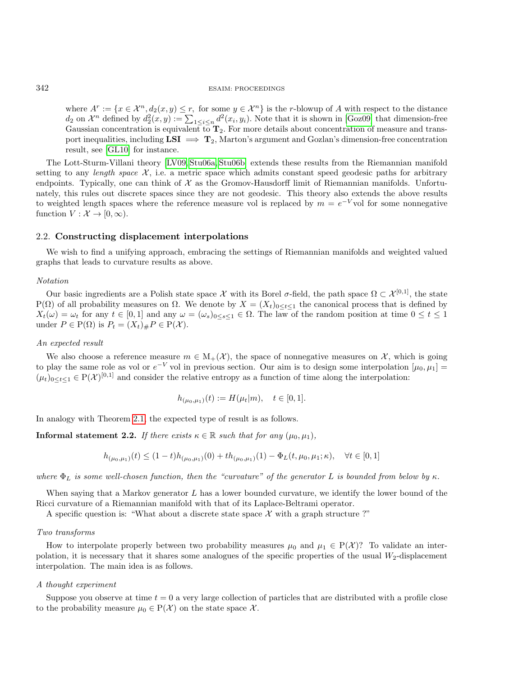where  $A^r := \{x \in \mathcal{X}^n, d_2(x, y) \leq r, \text{ for some } y \in \mathcal{X}^n\}$  is the r-blowup of A with respect to the distance  $d_2$  on  $\mathcal{X}^n$  defined by  $d_2^2(x,y) := \sum_{1 \leq i \leq n} d^2(x_i, y_i)$ . Note that it is shown in [\[Goz09\]](#page-16-18) that dimension-free Gaussian concentration is equivalent to  $T_2$ . For more details about concentration of measure and transport inequalities, including  $LSI \implies T_2$ , Marton's argument and Gozlan's dimension-free concentration result, see [\[GL10\]](#page-16-2) for instance.

The Lott-Sturm-Villani theory [\[LV09,](#page-16-6) [Stu06a,](#page-16-7) [Stu06b\]](#page-16-8) extends these results from the Riemannian manifold setting to any length space  $\mathcal{X}$ , i.e. a metric space which admits constant speed geodesic paths for arbitrary endpoints. Typically, one can think of  $\mathcal X$  as the Gromov-Hausdorff limit of Riemannian manifolds. Unfortunately, this rules out discrete spaces since they are not geodesic. This theory also extends the above results to weighted length spaces where the reference measure vol is replaced by  $m = e^{-V}$  vol for some nonnegative function  $V : \mathcal{X} \to [0, \infty)$ .

#### <span id="page-4-0"></span>2.2. Constructing displacement interpolations

We wish to find a unifying approach, embracing the settings of Riemannian manifolds and weighted valued graphs that leads to curvature results as above.

### Notation

Our basic ingredients are a Polish state space X with its Borel  $\sigma$ -field, the path space  $\Omega \subset \mathcal{X}^{[0,1]}$ , the state P(Ω) of all probability measures on Ω. We denote by  $X = (X_t)_{0 \le t \le 1}$  the canonical process that is defined by  $X_t(\omega) = \omega_t$  for any  $t \in [0,1]$  and any  $\omega = (\omega_s)_{0 \le s \le 1} \in \Omega$ . The law of the random position at time  $0 \le t \le 1$ under  $P \in \mathcal{P}(\Omega)$  is  $P_t = (X_t)_\# P \in \mathcal{P}(\mathcal{X})$ .

#### An expected result

We also choose a reference measure  $m \in M_+(\mathcal{X})$ , the space of nonnegative measures on X, which is going to play the same role as vol or  $e^{-V}$  vol in previous section. Our aim is to design some interpolation  $[\mu_0, \mu_1] =$  $(\mu_t)_{0 \leq t \leq 1} \in P(\mathcal{X})^{[0,1]}$  and consider the relative entropy as a function of time along the interpolation:

$$
h_{(\mu_0,\mu_1)}(t) := H(\mu_t|m), \quad t \in [0,1].
$$

In analogy with Theorem [2.1,](#page-3-0) the expected type of result is as follows.

<span id="page-4-1"></span>**Informal statement 2.2.** If there exists  $\kappa \in \mathbb{R}$  such that for any  $(\mu_0, \mu_1)$ ,

$$
h_{(\mu_0,\mu_1)}(t) \le (1-t)h_{(\mu_0,\mu_1)}(0) + th_{(\mu_0,\mu_1)}(1) - \Phi_L(t,\mu_0,\mu_1;\kappa), \quad \forall t \in [0,1]
$$

where  $\Phi_L$  is some well-chosen function, then the "curvature" of the generator L is bounded from below by  $\kappa$ .

When saying that a Markov generator  $L$  has a lower bounded curvature, we identify the lower bound of the Ricci curvature of a Riemannian manifold with that of its Laplace-Beltrami operator.

A specific question is: "What about a discrete state space  $\mathcal X$  with a graph structure ?"

#### Two transforms

How to interpolate properly between two probability measures  $\mu_0$  and  $\mu_1 \in P(\mathcal{X})$ ? To validate an interpolation, it is necessary that it shares some analogues of the specific properties of the usual  $W_2$ -displacement interpolation. The main idea is as follows.

#### A thought experiment

Suppose you observe at time  $t = 0$  a very large collection of particles that are distributed with a profile close to the probability measure  $\mu_0 \in P(\mathcal{X})$  on the state space  $\mathcal{X}$ .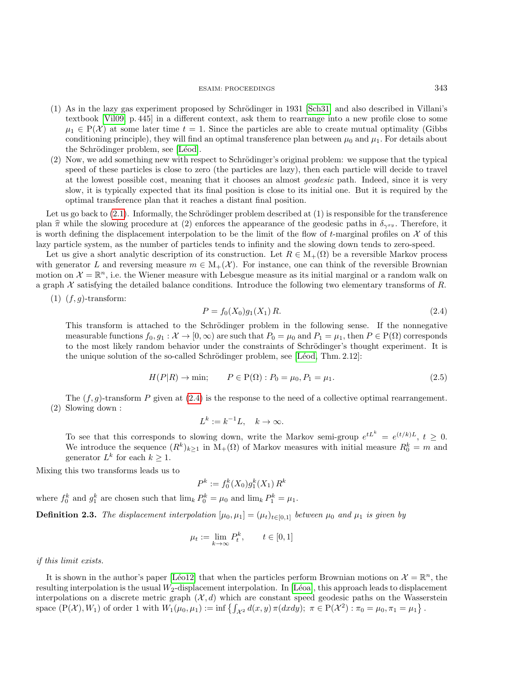- $(1)$  As in the lazy gas experiment proposed by Schrödinger in 1931 [\[Sch31\]](#page-16-19) and also described in Villani's textbook [\[Vil09,](#page-16-4) p. 445] in a different context, ask them to rearrange into a new profile close to some  $\mu_1 \in P(\mathcal{X})$  at some later time  $t = 1$ . Since the particles are able to create mutual optimality (Gibbs conditioning principle), they will find an optimal transference plan between  $\mu_0$  and  $\mu_1$ . For details about the Schrödinger problem, see [Léod].
- $(2)$  Now, we add something new with respect to Schrödinger's original problem: we suppose that the typical speed of these particles is close to zero (the particles are lazy), then each particle will decide to travel at the lowest possible cost, meaning that it chooses an almost *geodesic* path. Indeed, since it is very slow, it is typically expected that its final position is close to its initial one. But it is required by the optimal transference plan that it reaches a distant final position.

Let us go back to  $(2.1)$ . Informally, the Schrödinger problem described at  $(1)$  is responsible for the transference plan  $\hat{\pi}$  while the slowing procedure at (2) enforces the appearance of the geodesic paths in  $\delta_{\gamma}x_y$ . Therefore, it is worth defining the displacement interpolation to be the limit of the flow of t-marginal profiles on  $\mathcal X$  of this lazy particle system, as the number of particles tends to infinity and the slowing down tends to zero-speed.

Let us give a short analytic description of its construction. Let  $R \in M_+(\Omega)$  be a reversible Markov process with generator L and reversing measure  $m \in M_+(\mathcal{X})$ . For instance, one can think of the reversible Brownian motion on  $\mathcal{X} = \mathbb{R}^n$ , i.e. the Wiener measure with Lebesgue measure as its initial marginal or a random walk on a graph  $\mathcal X$  satisfying the detailed balance conditions. Introduce the following two elementary transforms of  $R$ .

### $(1)$   $(f, g)$ -transform:

<span id="page-5-0"></span>
$$
P = f_0(X_0)g_1(X_1)R. \t\t(2.4)
$$

This transform is attached to the Schrödinger problem in the following sense. If the nonnegative measurable functions  $f_0, g_1 : \mathcal{X} \to [0, \infty)$  are such that  $P_0 = \mu_0$  and  $P_1 = \mu_1$ , then  $P \in \mathcal{P}(\Omega)$  corresponds to the most likely random behavior under the constraints of Schrödinger's thought experiment. It is the unique solution of the so-called Schrödinger problem, see [Léod, Thm. 2.12]:

<span id="page-5-1"></span>
$$
H(P|R) \to \min; \qquad P \in P(\Omega) : P_0 = \mu_0, P_1 = \mu_1. \tag{2.5}
$$

The  $(f, g)$ -transform P given at  $(2.4)$  is the response to the need of a collective optimal rearrangement. (2) Slowing down :

$$
L^k := k^{-1}L, \quad k \to \infty.
$$

To see that this corresponds to slowing down, write the Markov semi-group  $e^{tL^k} = e^{(t/k)L}$ ,  $t \geq 0$ . We introduce the sequence  $(R^k)_{k\geq 1}$  in  $M_+(\Omega)$  of Markov measures with initial measure  $R_0^k = m$  and generator  $L^k$  for each  $k \geq 1$ .

Mixing this two transforms leads us to

$$
P^k := f_0^k(X_0)g_1^k(X_1) R^k
$$

where  $f_0^k$  and  $g_1^k$  are chosen such that  $\lim_k P_0^k = \mu_0$  and  $\lim_k P_1^k = \mu_1$ .

<span id="page-5-2"></span>**Definition 2.3.** The displacement interpolation  $[\mu_0, \mu_1] = (\mu_t)_{t \in [0,1]}$  between  $\mu_0$  and  $\mu_1$  is given by

$$
\mu_t := \lim_{k \to \infty} P_t^k, \qquad t \in [0, 1]
$$

if this limit exists.

It is shown in the author's paper [Léo12] that when the particles perform Brownian motions on  $\mathcal{X} = \mathbb{R}^n$ , the resulting interpolation is the usual  $W_2$ -displacement interpolation. In [Léoa], this approach leads to displacement interpolations on a discrete metric graph  $(\mathcal{X}, d)$  which are constant speed geodesic paths on the Wasserstein space  $(P(\mathcal{X}), W_1)$  of order 1 with  $W_1(\mu_0, \mu_1) := \inf \{ \int_{\mathcal{X}^2} d(x, y) \, \pi(dxdy); \ \pi \in P(\mathcal{X}^2) : \pi_0 = \mu_0, \pi_1 = \mu_1 \}.$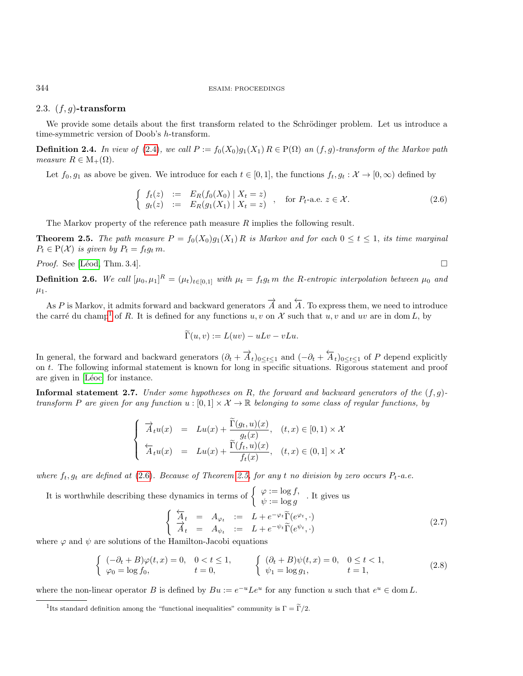### <span id="page-6-0"></span>2.3.  $(f, g)$ -transform

We provide some details about the first transform related to the Schrödinger problem. Let us introduce a time-symmetric version of Doob's h-transform.

**Definition 2.4.** In view of [\(2.4\)](#page-5-0), we call  $P := f_0(X_0)g_1(X_1)R \in P(\Omega)$  an  $(f, g)$ -transform of the Markov path measure  $R \in M_+(\Omega)$ .

Let  $f_0, g_1$  as above be given. We introduce for each  $t \in [0, 1]$ , the functions  $f_t, g_t : \mathcal{X} \to [0, \infty)$  defined by

<span id="page-6-2"></span>
$$
\begin{cases}\n f_t(z) := E_R(f_0(X_0) | X_t = z) \\
 g_t(z) := E_R(g_1(X_1) | X_t = z)\n\end{cases}, \text{ for } P_t\text{-a.e. } z \in \mathcal{X}.
$$
\n(2.6)

The Markov property of the reference path measure  $R$  implies the following result.

<span id="page-6-3"></span>**Theorem 2.5.** The path measure  $P = f_0(X_0)g_1(X_1)R$  is Markov and for each  $0 \le t \le 1$ , its time marginal  $P_t \in P(\mathcal{X})$  is given by  $P_t = f_t g_t m$ .

*Proof.* See [Léod, Thm. 3.4].

**Definition 2.6.** We call  $[\mu_0, \mu_1]^R = (\mu_t)_{t \in [0,1]}$  with  $\mu_t = f_t g_t m$  the R-entropic interpolation between  $\mu_0$  and  $\mu_1$ .

As P is Markov, it admits forward and backward generators  $\overrightarrow{A}$  and  $\overleftarrow{A}$ . To express them, we need to introduce the carré du champ<sup>[1](#page-6-1)</sup> of R. It is defined for any functions u, v on X such that u, v and uv are in dom L, by

$$
\widetilde{\Gamma}(u,v) := L(uv) - uLv - vLu.
$$

In general, the forward and backward generators  $(\partial_t + \overrightarrow{A}_t)_{0 \leq t \leq 1}$  and  $(-\partial_t + \overleftarrow{A}_t)_{0 \leq t \leq 1}$  of P depend explicitly on t. The following informal statement is known for long in specific situations. Rigorous statement and proof are given in [Léoc] for instance.

**Informal statement 2.7.** Under some hypotheses on R, the forward and backward generators of the  $(f, g)$ transform P are given for any function  $u : [0,1] \times \mathcal{X} \to \mathbb{R}$  belonging to some class of regular functions, by

$$
\begin{cases}\n\overrightarrow{A}_t u(x) = Lu(x) + \frac{\Gamma(g_t, u)(x)}{g_t(x)}, & (t, x) \in [0, 1) \times \mathcal{X} \\
\overleftarrow{A}_t u(x) = Lu(x) + \frac{\widetilde{\Gamma}(f_t, u)(x)}{f_t(x)}, & (t, x) \in (0, 1] \times \mathcal{X}\n\end{cases}
$$

where  $f_t, g_t$  are defined at [\(2.6\)](#page-6-2). Because of Theorem [2.5,](#page-6-3) for any t no division by zero occurs  $P_t$ -a.e.

It is worthwhile describing these dynamics in terms of  $\begin{cases} \varphi := \log f, \\ \varphi := \log f, \end{cases}$  $\psi := \log g$ . It gives us

<span id="page-6-4"></span>
$$
\begin{cases}\n\overleftarrow{A}_t = A_{\varphi_t} := L + e^{-\varphi_t} \tilde{\Gamma}(e^{\varphi_t}, \cdot) \\
\overrightarrow{A}_t = A_{\psi_t} := L + e^{-\psi_t} \tilde{\Gamma}(e^{\psi_t}, \cdot)\n\end{cases} \tag{2.7}
$$

where  $\varphi$  and  $\psi$  are solutions of the Hamilton-Jacobi equations

<span id="page-6-5"></span>
$$
\begin{cases}\n(-\partial_t + B)\varphi(t, x) = 0, & 0 < t \le 1, \\
\varphi_0 = \log f_0, & t = 0,\n\end{cases}\n\qquad\n\begin{cases}\n(\partial_t + B)\psi(t, x) = 0, & 0 \le t < 1, \\
\psi_1 = \log g_1, & t = 1,\n\end{cases}\n\tag{2.8}
$$

where the non-linear operator B is defined by  $Bu := e^{-u} L e^u$  for any function u such that  $e^u \in \text{dom } L$ .

<span id="page-6-1"></span><sup>&</sup>lt;sup>1</sup>Its standard definition among the "functional inequalities" community is  $\Gamma = \widetilde{\Gamma}/2$ .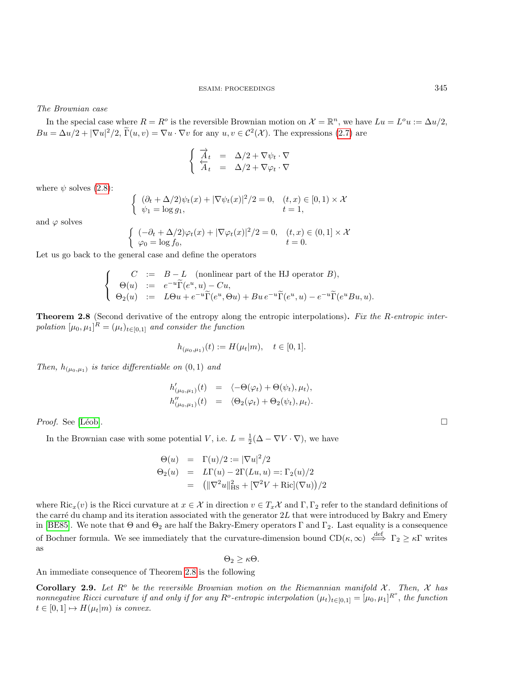### The Brownian case

In the special case where  $R = R^o$  is the reversible Brownian motion on  $\mathcal{X} = \mathbb{R}^n$ , we have  $Lu = L^o u := \Delta u/2$ ,  $Bu = \Delta u/2 + |\nabla u|^2/2$ ,  $\tilde{\Gamma}(u, v) = \nabla u \cdot \nabla v$  for any  $u, v \in C^2(\mathcal{X})$ . The expressions [\(2.7\)](#page-6-4) are

$$
\left\{ \begin{array}{ccc} \overrightarrow{A}_{t} & = & \Delta/2 + \nabla \psi_{t} \cdot \nabla \\ \overleftarrow{A}_{t} & = & \Delta/2 + \nabla \varphi_{t} \cdot \nabla \end{array} \right.
$$

where  $\psi$  solves [\(2.8\)](#page-6-5):

$$
\begin{cases} (\partial_t + \Delta/2)\psi_t(x) + |\nabla \psi_t(x)|^2/2 = 0, & (t, x) \in [0, 1) \times \mathcal{X} \\ \psi_1 = \log g_1, & t = 1, \end{cases}
$$

and  $\varphi$  solves

$$
\begin{cases}\n(-\partial_t + \Delta/2)\varphi_t(x) + |\nabla \varphi_t(x)|^2/2 = 0, & (t, x) \in (0, 1] \times \mathcal{X} \\
\varphi_0 = \log f_0, & t = 0.\n\end{cases}
$$

Let us go back to the general case and define the operators

$$
\begin{cases}\nC &:= B - L \quad \text{(nonlinear part of the HJ operator } B), \\
\Theta(u) &:= e^{-u} \widetilde{\Gamma}(e^u, u) - Cu, \\
\Theta_2(u) &:= L \Theta u + e^{-u} \widetilde{\Gamma}(e^u, \Theta u) + B u e^{-u} \widetilde{\Gamma}(e^u, u) - e^{-u} \widetilde{\Gamma}(e^u B u, u).\n\end{cases}
$$

<span id="page-7-0"></span>**Theorem 2.8** (Second derivative of the entropy along the entropic interpolations). Fix the R-entropic interpolation  $[\mu_0, \mu_1]^R = (\mu_t)_{t \in [0,1]}$  and consider the function

$$
h_{(\mu_0,\mu_1)}(t) := H(\mu_t|m), \quad t \in [0,1].
$$

Then,  $h_{(\mu_0,\mu_1)}$  is twice differentiable on  $(0,1)$  and

$$
h'_{(\mu_0,\mu_1)}(t) = \langle -\Theta(\varphi_t) + \Theta(\psi_t), \mu_t \rangle,
$$
  
\n
$$
h''_{(\mu_0,\mu_1)}(t) = \langle \Theta_2(\varphi_t) + \Theta_2(\psi_t), \mu_t \rangle.
$$

*Proof.* See [Léob].  $\Box$ 

In the Brownian case with some potential V, i.e.  $L = \frac{1}{2}(\Delta - \nabla V \cdot \nabla)$ , we have

$$
\Theta(u) = \Gamma(u)/2 := |\nabla u|^2/2 \n\Theta_2(u) = L\Gamma(u) - 2\Gamma(Lu, u) =: \Gamma_2(u)/2 \n= (||\nabla^2 u||_{\text{HS}}^2 + [\nabla^2 V + \text{Ric}](\nabla u))/2
$$

where  $\text{Ric}_x(v)$  is the Ricci curvature at  $x \in \mathcal{X}$  in direction  $v \in T_x\mathcal{X}$  and  $\Gamma, \Gamma_2$  refer to the standard definitions of the carré du champ and its iteration associated with the generator  $2L$  that were introduced by Bakry and Emery in [\[BE85\]](#page-15-0). We note that  $\Theta$  and  $\Theta_2$  are half the Bakry-Emery operators  $\Gamma$  and  $\Gamma_2$ . Last equality is a consequence of Bochner formula. We see immediately that the curvature-dimension bound  $CD(\kappa,\infty) \iff \Gamma_2 \geq \kappa \Gamma$  writes as

$$
\Theta_2 \geq \kappa \Theta.
$$

An immediate consequence of Theorem [2.8](#page-7-0) is the following

**Corollary 2.9.** Let  $R^o$  be the reversible Brownian motion on the Riemannian manifold X. Then, X has nonnegative Ricci curvature if and only if for any R<sup>o</sup>-entropic interpolation  $(\mu_t)_{t\in[0,1]} = [\mu_0, \mu_1]^{R^o}$ , the function  $t \in [0, 1] \mapsto H(\mu_t|m)$  is convex.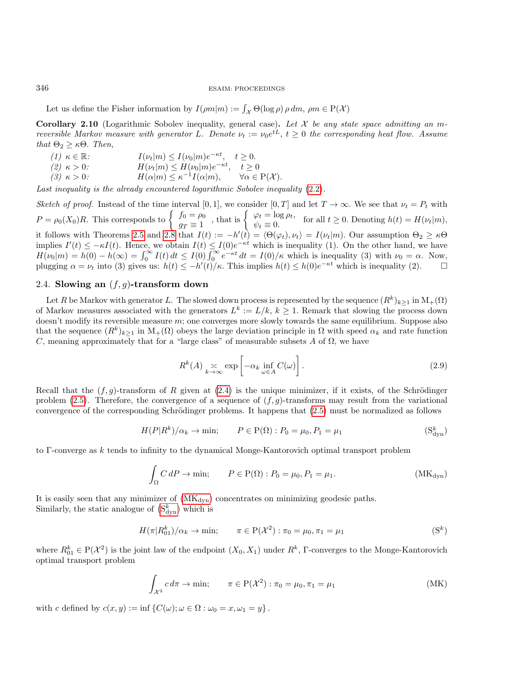Let us define the Fisher information by  $I(\rho m|m) := \int_{\mathcal{X}} \Theta(\log \rho) \rho dm$ ,  $\rho m \in P(\mathcal{X})$ 

Corollary 2.10 (Logarithmic Sobolev inequality, general case). Let  $\mathcal X$  be any state space admitting an mreversible Markov measure with generator L. Denote  $\nu_t := \nu_0 e^{tL}$ ,  $t \geq 0$  the corresponding heat flow. Assume that  $\Theta_2 \geq \kappa \Theta$ . Then,

(1)  $\kappa \in \mathbb{R}$ :  $I(\nu_t|m) \leq I(\nu_0|m)e^{-\kappa t}, \quad t \geq 0.$ (2)  $\kappa > 0$ :  $H(\nu_t|m) \leq H(\nu_0|m)e^{-\kappa t}, \quad t \geq 0$ (3)  $\kappa > 0$ :  $H(\alpha|m) \leq \kappa^{-1} I(\alpha|m)$ ,  $\forall \alpha \in P(\mathcal{X})$ .

Last inequality is the already encountered logarithmic Sobolev inequality [\(2.2\)](#page-3-2).

Sketch of proof. Instead of the time interval [0,1], we consider [0, T] and let  $T \to \infty$ . We see that  $\nu_t = P_t$  with  $P = \rho_0(X_0)R$ . This corresponds to  $\begin{cases} f_0 = \rho_0 \\ \rho_0 = -1 \end{cases}$  $f_0 = \rho_0$ , that is  $\begin{cases} \varphi_t = \log \rho_t, \\ \psi_t \equiv 0. \end{cases}$  $\psi_t = \log p_t$ , for all  $t \geq 0$ . Denoting  $h(t) = H(\nu_t|m)$ ,  $\psi_t \equiv 0$ . it follows with Theorems [2.5](#page-6-3) and [2.8](#page-7-0) that  $I(t) := -h'(t) = \langle \Theta(\varphi_t), \nu_t \rangle = I(\nu_t|m)$ . Our assumption  $\Theta_2 \geq \kappa \Theta$ implies  $I'(t) \leq -\kappa I(t)$ . Hence, we obtain  $I(t) \leq I(0)e^{-\kappa t}$  which is inequality (1). On the other hand, we have  $H(\nu_0|m) = h(0) - h(\infty) = \int_0^\infty I(t) dt \leq I(0) \int_0^\infty e^{-\kappa t} dt = I(0)/\kappa$  which is inequality (3) with  $\nu_0 = \alpha$ . Now, plugging  $\alpha = \nu_t$  into (3) gives us:  $h(t) \leq -h'(t)/\kappa$ . This implies  $h(t) \leq h(0)e^{-\kappa t}$  which is inequality (2).

### <span id="page-8-0"></span>2.4. Slowing an  $(f, g)$ -transform down

Let R be Markov with generator L. The slowed down process is represented by the sequence  $(R^k)_{k\geq 1}$  in  $M_+(\Omega)$ of Markov measures associated with the generators  $L^k := L/k$ ,  $k \geq 1$ . Remark that slowing the process down doesn't modify its reversible measure  $m$ ; one converges more slowly towards the same equilibrium. Suppose also that the sequence  $(R^k)_{k\geq 1}$  in  $M_+(\Omega)$  obeys the large deviation principle in  $\Omega$  with speed  $\alpha_k$  and rate function C, meaning approximately that for a "large class" of measurable subsets A of  $\Omega$ , we have

<span id="page-8-3"></span><span id="page-8-2"></span><span id="page-8-1"></span>
$$
R^{k}(A) \underset{k \to \infty}{\asymp} \exp\left[-\alpha_k \inf_{\omega \in A} C(\omega)\right].
$$
 (2.9)

Recall that the  $(f, g)$ -transform of R given at  $(2.4)$  is the unique minimizer, if it exists, of the Schrödinger problem [\(2.5\)](#page-5-1). Therefore, the convergence of a sequence of  $(f, q)$ -transforms may result from the variational convergence of the corresponding Schrödinger problems. It happens that  $(2.5)$  must be normalized as follows

$$
H(P|R^k)/\alpha_k \to \min; \qquad P \in \mathcal{P}(\Omega) : P_0 = \mu_0, P_1 = \mu_1 \tag{S_{dyn}^k}
$$

to Γ-converge as k tends to infinity to the dynamical Monge-Kantorovich optimal transport problem

$$
\int_{\Omega} C dP \to \min; \qquad P \in \mathcal{P}(\Omega) : P_0 = \mu_0, P_1 = \mu_1.
$$
\n(MK<sub>dyn</sub>)

It is easily seen that any minimizer of  $(MK_{dyn})$  concentrates on minimizing geodesic paths. Similarly, the static analogue of  $(S_{dyn}^k)$  $(S_{dyn}^k)$  $(S_{dyn}^k)$  which is

$$
H(\pi | R_{01}^k)/\alpha_k \to \min; \qquad \pi \in \mathcal{P}(\mathcal{X}^2) : \pi_0 = \mu_0, \pi_1 = \mu_1 \tag{Sk}
$$

where  $R_{01}^k \in P(\mathcal{X}^2)$  is the joint law of the endpoint  $(X_0, X_1)$  under  $R^k$ ,  $\Gamma$ -converges to the Monge-Kantorovich optimal transport problem

<span id="page-8-5"></span><span id="page-8-4"></span>
$$
\int_{\mathcal{X}^2} c \, d\pi \to \min; \qquad \pi \in \mathcal{P}(\mathcal{X}^2) : \pi_0 = \mu_0, \pi_1 = \mu_1 \tag{MK}
$$

with c defined by  $c(x, y) := \inf \{ C(\omega) ; \omega \in \Omega : \omega_0 = x, \omega_1 = y \}.$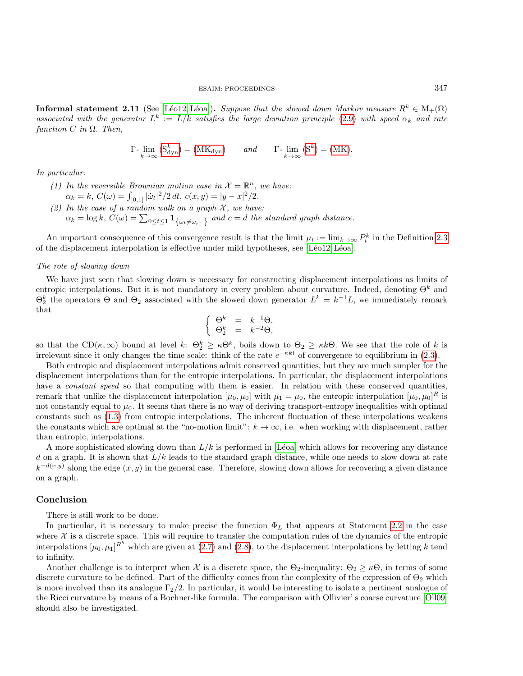**Informal statement 2.11** (See [Léo12, Léoa]). Suppose that the slowed down Markov measure  $R^k \in M_+(\Omega)$ associated with the generator  $L^k := L/k$  satisfies the large deviation principle [\(2.9\)](#page-8-3) with speed  $\alpha_k$  and rate function  $C$  in  $\Omega$ . Then,

$$
\Gamma\text{-}\lim_{k\to\infty} (S_{\text{dyn}}^k) = (MK_{\text{dyn}}) \qquad and \qquad \Gamma\text{-}\lim_{k\to\infty} (S^k) = (MK).
$$

In particular:

- (1) In the reversible Brownian motion case in  $\mathcal{X} = \mathbb{R}^n$ , we have:  $\alpha_k = k, C(\omega) = \int_{[0,1]} |\dot{\omega}_t|^2 / 2 dt, c(x, y) = |y - x|^2 / 2.$
- (2) In the case of a random walk on a graph  $\mathcal{X}$ , we have:  $\alpha_k = \log k$ ,  $C(\omega) = \sum_{0 \leq t \leq 1} \mathbf{1}_{\{\omega_t \neq \omega_{t-}\}}$  and  $c = d$  the standard graph distance.

An important consequence of this convergence result is that the limit  $\mu_t := \lim_{k \to \infty} P_t^k$  in the Definition [2.3](#page-5-2) of the displacement interpolation is effective under mild hypotheses, see [Léo12, Léoa].

### The role of slowing down

We have just seen that slowing down is necessary for constructing displacement interpolations as limits of entropic interpolations. But it is not mandatory in every problem about curvature. Indeed, denoting  $\Theta^k$  and  $\Theta_2^k$  the operators  $\Theta$  and  $\Theta_2$  associated with the slowed down generator  $L^k = k^{-1}L$ , we immediately remark that

$$
\left\{\begin{array}{rcl} \Theta^k&=&k^{-1}\Theta,\\ \Theta^k_2&=&k^{-2}\Theta, \end{array}\right.
$$

so that the CD( $\kappa,\infty$ ) bound at level  $k: \Theta_2^k \geq \kappa \Theta^k$ , boils down to  $\Theta_2 \geq \kappa k\Theta$ . We see that the role of k is irrelevant since it only changes the time scale: think of the rate  $e^{-\kappa kt}$  of convergence to equilibrium in [\(2.3\)](#page-3-3).

Both entropic and displacement interpolations admit conserved quantities, but they are much simpler for the displacement interpolations than for the entropic interpolations. In particular, the displacement interpolations have a *constant speed* so that computing with them is easier. In relation with these conserved quantities, remark that unlike the displacement interpolation  $[\mu_0, \mu_0]$  with  $\mu_1 = \mu_0$ , the entropic interpolation  $[\mu_0, \mu_0]^R$  is not constantly equal to  $\mu_0$ . It seems that there is no way of deriving transport-entropy inequalities with optimal constants such as [\(1.3\)](#page-1-3) from entropic interpolations. The inherent fluctuation of these interpolations weakens the constants which are optimal at the "no-motion limit":  $k \to \infty$ , i.e. when working with displacement, rather than entropic, interpolations.

A more sophisticated slowing down than  $L/k$  is performed in [Léoa] which allows for recovering any distance d on a graph. It is shown that  $L/k$  leads to the standard graph distance, while one needs to slow down at rate  $k^{-d(x,y)}$  along the edge  $(x, y)$  in the general case. Therefore, slowing down allows for recovering a given distance on a graph.

#### Conclusion

There is still work to be done.

In particular, it is necessary to make precise the function  $\Phi_L$  that appears at Statement [2.2](#page-4-1) in the case where  $\mathcal X$  is a discrete space. This will require to transfer the computation rules of the dynamics of the entropic interpolations  $[\mu_0, \mu_1]^{R^k}$  which are given at [\(2.7\)](#page-6-4) and [\(2.8\)](#page-6-5), to the displacement interpolations by letting k tend to infinity.

Another challenge is to interpret when  $\mathcal X$  is a discrete space, the  $\Theta_2$ -inequality:  $\Theta_2 \geq \kappa \Theta$ , in terms of some discrete curvature to be defined. Part of the difficulty comes from the complexity of the expression of  $\Theta_2$  which is more involved than its analogue  $\Gamma_2/2$ . In particular, it would be interesting to isolate a pertinent analogue of the Ricci curvature by means of a Bochner-like formula. The comparison with Ollivier' s coarse curvature [\[Oll09\]](#page-16-21) should also be investigated.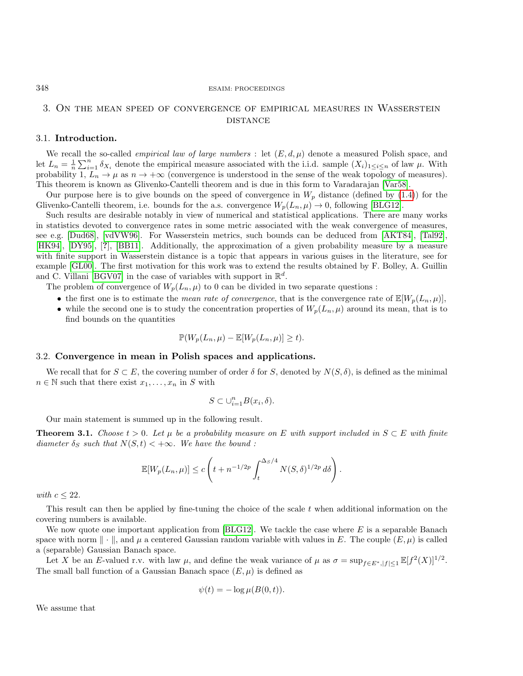## 3. On the mean speed of convergence of empirical measures in Wasserstein **DISTANCE**

### 3.1. Introduction.

We recall the so-called *empirical law of large numbers* : let  $(E, d, \mu)$  denote a measured Polish space, and let  $L_n = \frac{1}{n} \sum_{i=1}^n \delta_{X_i}$  denote the empirical measure associated with the i.i.d. sample  $(X_i)_{1 \leq i \leq n}$  of law  $\mu$ . With probability 1,  $L_n \to \mu$  as  $n \to +\infty$  (convergence is understood in the sense of the weak topology of measures). This theorem is known as Glivenko-Cantelli theorem and is due in this form to Varadarajan [\[Var58\]](#page-16-22).

Our purpose here is to give bounds on the speed of convergence in  $W_p$  distance (defined by  $(1.4)$ ) for the Glivenko-Cantelli theorem, i.e. bounds for the a.s. convergence  $W_p(L_n, \mu) \to 0$ , following [\[BLG12\]](#page-15-3).

Such results are desirable notably in view of numerical and statistical applications. There are many works in statistics devoted to convergence rates in some metric associated with the weak convergence of measures, see e.g. [\[Dud68\]](#page-15-4), [\[vdVW96\]](#page-16-23). For Wasserstein metrics, such bounds can be deduced from [\[AKT84\]](#page-15-5), [\[Tal92\]](#page-16-24), [\[HK94\]](#page-16-25), [\[DY95\]](#page-16-26), [?], [\[BB11\]](#page-15-6). Additionally, the approximation of a given probability measure by a measure with finite support in Wasserstein distance is a topic that appears in various guises in the literature, see for example [\[GL00\]](#page-16-27). The first motivation for this work was to extend the results obtained by F. Bolley, A. Guillin and C. Villani [\[BGV07\]](#page-15-7) in the case of variables with support in  $\mathbb{R}^d$ .

The problem of convergence of  $W_p(L_n, \mu)$  to 0 can be divided in two separate questions :

- the first one is to estimate the mean rate of convergence, that is the convergence rate of  $\mathbb{E}[W_p(L_n,\mu)],$
- while the second one is to study the concentration properties of  $W_p(L_n,\mu)$  around its mean, that is to find bounds on the quantities

$$
\mathbb{P}(W_p(L_n, \mu) - \mathbb{E}[W_p(L_n, \mu)] \ge t).
$$

### 3.2. Convergence in mean in Polish spaces and applications.

We recall that for  $S \subset E$ , the covering number of order  $\delta$  for S, denoted by  $N(S, \delta)$ , is defined as the minimal  $n \in \mathbb{N}$  such that there exist  $x_1, \ldots, x_n$  in S with

$$
S \subset \cup_{i=1}^n B(x_i, \delta).
$$

Our main statement is summed up in the following result.

**Theorem 3.1.** Choose  $t > 0$ . Let  $\mu$  be a probability measure on E with support included in  $S \subset E$  with finite diameter  $\delta_S$  such that  $N(S, t) < +\infty$ . We have the bound:

$$
\mathbb{E}[W_p(L_n,\mu)] \le c \left( t + n^{-1/2p} \int_t^{\Delta_S/4} N(S,\delta)^{1/2p} d\delta \right).
$$

with  $c \leq 22$ .

This result can then be applied by fine-tuning the choice of the scale t when additional information on the covering numbers is available.

We now quote one important application from  $[BLG12]$ . We tackle the case where E is a separable Banach space with norm  $\|\cdot\|$ , and  $\mu$  a centered Gaussian random variable with values in E. The couple  $(E, \mu)$  is called a (separable) Gaussian Banach space.

Let X be an E-valued r.v. with law  $\mu$ , and define the weak variance of  $\mu$  as  $\sigma = \sup_{f \in E^*, |f| \leq 1} \mathbb{E}[f^2(X)]^{1/2}$ . The small ball function of a Gaussian Banach space  $(E, \mu)$  is defined as

$$
\psi(t) = -\log \mu(B(0, t)).
$$

We assume that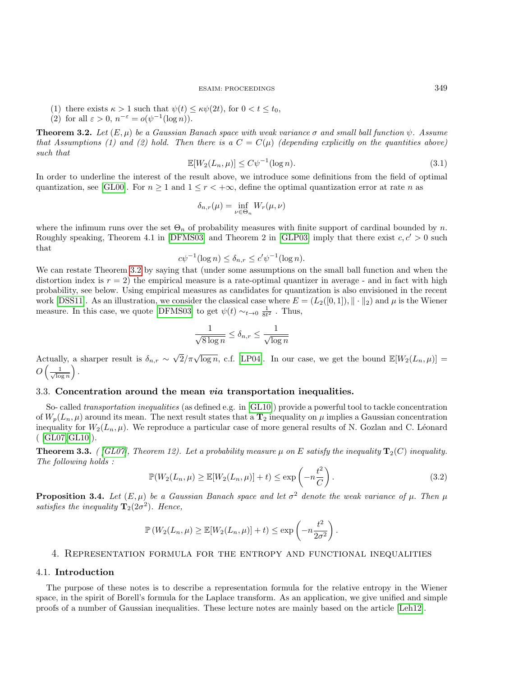- (1) there exists  $\kappa > 1$  such that  $\psi(t) \leq \kappa \psi(2t)$ , for  $0 < t \leq t_0$ ,
- (2) for all  $\varepsilon > 0$ ,  $n^{-\varepsilon} = o(\psi^{-1}(\log n)).$

<span id="page-11-0"></span>**Theorem 3.2.** Let  $(E, \mu)$  be a Gaussian Banach space with weak variance  $\sigma$  and small ball function  $\psi$ . Assume that Assumptions (1) and (2) hold. Then there is a  $C = C(\mu)$  (depending explicitly on the quantities above) such that

$$
\mathbb{E}[W_2(L_n, \mu)] \le C\psi^{-1}(\log n). \tag{3.1}
$$

In order to underline the interest of the result above, we introduce some definitions from the field of optimal quantization, see [\[GL00\]](#page-16-27). For  $n \geq 1$  and  $1 \leq r < +\infty$ , define the optimal quantization error at rate n as

$$
\delta_{n,r}(\mu) = \inf_{\nu \in \Theta_n} W_r(\mu, \nu)
$$

where the infimum runs over the set  $\Theta_n$  of probability measures with finite support of cardinal bounded by n. Roughly speaking, Theorem 4.1 in [\[DFMS03\]](#page-15-8) and Theorem 2 in [\[GLP03\]](#page-16-28) imply that there exist  $c, c' > 0$  such that

$$
c\psi^{-1}(\log n) \le \delta_{n,r} \le c'\psi^{-1}(\log n).
$$

We can restate Theorem [3.2](#page-11-0) by saying that (under some assumptions on the small ball function and when the distortion index is  $r = 2$ ) the empirical measure is a rate-optimal quantizer in average - and in fact with high probability, see below. Using empirical measures as candidates for quantization is also envisioned in the recent work [\[DSS11\]](#page-15-9). As an illustration, we consider the classical case where  $E = (L_2([0, 1]), || \cdot ||_2)$  and  $\mu$  is the Wiener measure. In this case, we quote [\[DFMS03\]](#page-15-8) to get  $\psi(t) \sim_{t \to 0} \frac{1}{8t^2}$ . Thus,

$$
\frac{1}{\sqrt{8\log n}} \le \delta_{n,r} \le \frac{1}{\sqrt{\log n}}
$$

Actually, a sharper result is  $\delta_{n,r} \sim$  $\sqrt{2}/\pi\sqrt{\log n}$ , c.f. [\[LP04\]](#page-16-29). In our case, we get the bound  $\mathbb{E}[W_2(L_n,\mu)] =$  $O\left(\frac{1}{\sqrt{\log n}}\right)$ .

### 3.3. Concentration around the mean via transportation inequalities.

So- called transportation inequalities (as defined e.g. in [\[GL10\]](#page-16-2)) provide a powerful tool to tackle concentration of  $W_p(L_n, \mu)$  around its mean. The next result states that a  $T_2$  inequality on  $\mu$  implies a Gaussian concentration inequality for  $W_2(L_n, \mu)$ . We reproduce a particular case of more general results of N. Gozlan and C. Léonard ( [\[GL07,](#page-16-30)[GL10\]](#page-16-2)).

**Theorem 3.3.** ( [\[GL07\]](#page-16-30), Theorem 12). Let a probability measure  $\mu$  on E satisfy the inequality  $\mathbf{T}_2(C)$  inequality. The following holds :

$$
\mathbb{P}(W_2(L_n,\mu) \ge \mathbb{E}[W_2(L_n,\mu)] + t) \le \exp\left(-n\frac{t^2}{C}\right).
$$
\n(3.2)

**Proposition 3.4.** Let  $(E, \mu)$  be a Gaussian Banach space and let  $\sigma^2$  denote the weak variance of  $\mu$ . Then  $\mu$ satisfies the inequality  $\mathbf{T}_2(2\sigma^2)$ . Hence,

$$
\mathbb{P}(W_2(L_n,\mu)\geq \mathbb{E}[W_2(L_n,\mu)]+t)\leq \exp\left(-n\frac{t^2}{2\sigma^2}\right).
$$

### 4. Representation formula for the entropy and functional inequalities

### 4.1. Introduction

The purpose of these notes is to describe a representation formula for the relative entropy in the Wiener space, in the spirit of Borell's formula for the Laplace transform. As an application, we give unified and simple proofs of a number of Gaussian inequalities. These lecture notes are mainly based on the article [\[Leh12\]](#page-16-12).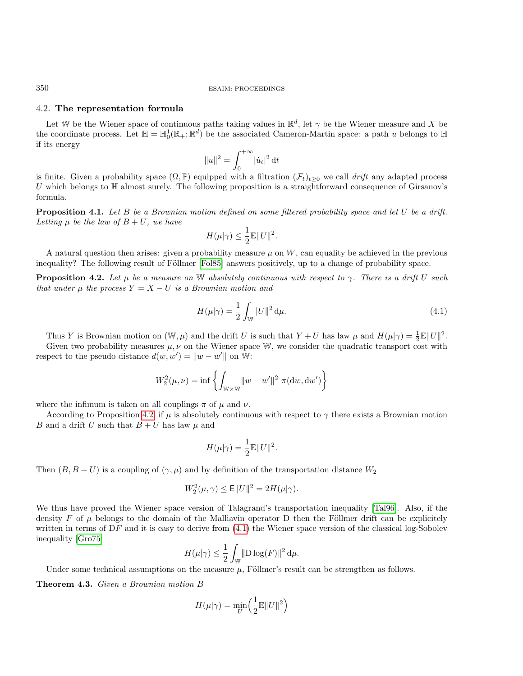### 4.2. The representation formula

Let W be the Wiener space of continuous paths taking values in  $\mathbb{R}^d$ , let  $\gamma$  be the Wiener measure and X be the coordinate process. Let  $\mathbb{H} = \mathbb{H}_0^1(\mathbb{R}_+;\mathbb{R}^d)$  be the associated Cameron-Martin space: a path u belongs to  $\mathbb{H}$ if its energy

$$
||u||^2 = \int_0^{+\infty} |\dot{u}_t|^2 dt
$$

is finite. Given a probability space  $(\Omega, \mathbb{P})$  equipped with a filtration  $(\mathcal{F}_t)_{t\geq 0}$  we call drift any adapted process U which belongs to  $\mathbb H$  almost surely. The following proposition is a straightforward consequence of Girsanov's formula.

Proposition 4.1. Let B be a Brownian motion defined on some filtered probability space and let U be a drift. Letting  $\mu$  be the law of  $B+U$ , we have

$$
H(\mu|\gamma) \leq \frac{1}{2} \mathbb{E} ||U||^2.
$$

A natural question then arises: given a probability measure  $\mu$  on  $W$ , can equality be achieved in the previous inequality? The following result of Föllmer [\[Fol85\]](#page-16-31) answers positively, up to a change of probability space.

<span id="page-12-0"></span>**Proposition 4.2.** Let  $\mu$  be a measure on W absolutely continuous with respect to  $\gamma$ . There is a drift U such that under  $\mu$  the process  $Y = X - U$  is a Brownian motion and

<span id="page-12-1"></span>
$$
H(\mu|\gamma) = \frac{1}{2} \int_{\mathbb{W}} \|U\|^2 \, \mathrm{d}\mu. \tag{4.1}
$$

Thus Y is Brownian motion on  $(\mathbb{W}, \mu)$  and the drift U is such that  $Y + U$  has law  $\mu$  and  $H(\mu|\gamma) = \frac{1}{2} \mathbb{E} ||U||^2$ .

Given two probability measures  $\mu, \nu$  on the Wiener space W, we consider the quadratic transport cost with respect to the pseudo distance  $d(w, w') = ||w - w'||$  on W:

$$
W_2^2(\mu, \nu) = \inf \left\{ \int_{\mathbb{W} \times \mathbb{W}} ||w - w'||^2 \pi(\mathrm{d}w, \mathrm{d}w') \right\}
$$

where the infimum is taken on all couplings  $\pi$  of  $\mu$  and  $\nu$ .

According to Proposition [4.2,](#page-12-0) if  $\mu$  is absolutely continuous with respect to  $\gamma$  there exists a Brownian motion B and a drift U such that  $B + U$  has law  $\mu$  and

$$
H(\mu|\gamma) = \frac{1}{2} \mathbb{E} ||U||^2.
$$

Then  $(B, B + U)$  is a coupling of  $(\gamma, \mu)$  and by definition of the transportation distance  $W_2$ 

$$
W_2^2(\mu, \gamma) \le \mathsf{E} ||U||^2 = 2H(\mu|\gamma).
$$

We thus have proved the Wiener space version of Talagrand's transportation inequality [\[Tal96\]](#page-16-32). Also, if the density F of  $\mu$  belongs to the domain of the Malliavin operator D then the Föllmer drift can be explicitely written in terms of  $DF$  and it is easy to derive from  $(4.1)$  the Wiener space version of the classical log-Sobolev inequality [\[Gro75\]](#page-16-33)

$$
H(\mu|\gamma) \le \frac{1}{2} \int_{\mathbb{W}} \|\mathcal{D}\log(F)\|^2 \, \mathrm{d}\mu.
$$

Under some technical assumptions on the measure  $\mu$ , Föllmer's result can be strengthen as follows.

Theorem 4.3. Given a Brownian motion B

$$
H(\mu|\gamma) = \min_U \left(\frac{1}{2}\mathbb{E}||U||^2\right)
$$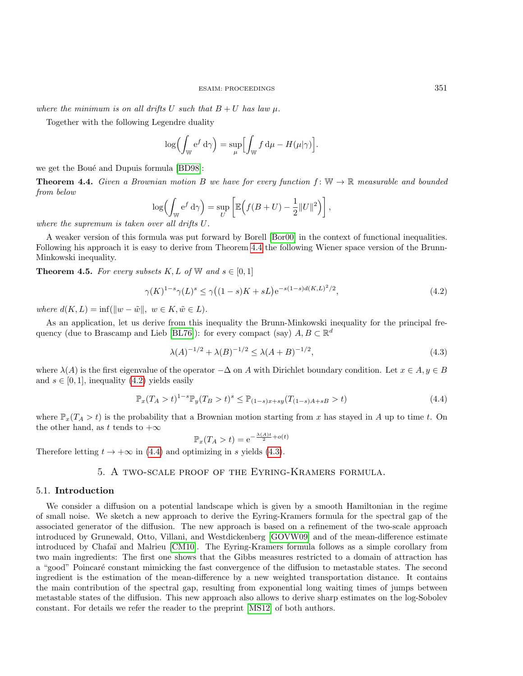where the minimum is on all drifts U such that  $B + U$  has law  $\mu$ .

Together with the following Legendre duality

$$
\log\Bigl(\int_{\mathbb{W}} e^f d\gamma\Bigr) = \sup_{\mu} \Bigl[\int_{\mathbb{W}} f d\mu - H(\mu|\gamma)\Bigr].
$$

we get the Boué and Dupuis formula [\[BD98\]](#page-15-10):

<span id="page-13-0"></span>**Theorem 4.4.** Given a Brownian motion B we have for every function  $f: \mathbb{W} \to \mathbb{R}$  measurable and bounded from below

$$
\log\Bigl(\int_{\mathbb{W}} e^f d\gamma\Bigr) = \sup_{U} \left[ \mathbb{E}\Bigl(f(B+U) - \frac{1}{2} ||U||^2\Bigr) \right],
$$
  
 *ver all drift*s *U*

where the supremum is taken over all drifts U.

A weaker version of this formula was put forward by Borell [\[Bor00\]](#page-15-11) in the context of functional inequalities. Following his approach it is easy to derive from Theorem [4.4](#page-13-0) the following Wiener space version of the Brunn-Minkowski inequality.

**Theorem 4.5.** For every subsets K, L of W and  $s \in [0,1]$ 

<span id="page-13-1"></span>
$$
\gamma(K)^{1-s}\gamma(L)^s \le \gamma((1-s)K + sL)e^{-s(1-s)d(K,L)^2/2},\tag{4.2}
$$

where  $d(K, L) = \inf(||w - \tilde{w}||, w \in K, \tilde{w} \in L).$ 

As an application, let us derive from this inequality the Brunn-Minkowski inequality for the principal fre-quency (due to Brascamp and Lieb [\[BL76\]](#page-15-12)): for every compact (say)  $A, B \subset \mathbb{R}^d$ 

<span id="page-13-3"></span>
$$
\lambda(A)^{-1/2} + \lambda(B)^{-1/2} \le \lambda(A+B)^{-1/2},\tag{4.3}
$$

where  $\lambda(A)$  is the first eigenvalue of the operator  $-\Delta$  on A with Dirichlet boundary condition. Let  $x \in A, y \in B$ and  $s \in [0, 1]$ , inequality [\(4.2\)](#page-13-1) yields easily

<span id="page-13-2"></span>
$$
\mathbb{P}_x(T_A > t)^{1-s} \mathbb{P}_y(T_B > t)^s \le \mathbb{P}_{(1-s)x+sy}(T_{(1-s)A+sB} > t)
$$
\n(4.4)

where  $\mathbb{P}_x(T_A > t)$  is the probability that a Brownian motion starting from x has stayed in A up to time t. On the other hand, as t tends to  $+\infty$ 

$$
\mathbb{P}_x(T_A > t) = e^{-\frac{\lambda(A)t}{2} + o(t)}
$$

Therefore letting  $t \to +\infty$  in [\(4.4\)](#page-13-2) and optimizing in s yields [\(4.3\)](#page-13-3).

### 5. A two-scale proof of the Eyring-Kramers formula.

### 5.1. Introduction

We consider a diffusion on a potential landscape which is given by a smooth Hamiltonian in the regime of small noise. We sketch a new approach to derive the Eyring-Kramers formula for the spectral gap of the associated generator of the diffusion. The new approach is based on a refinement of the two-scale approach introduced by Grunewald, Otto, Villani, and Westdickenberg [\[GOVW09\]](#page-16-34) and of the mean-difference estimate introduced by Chafaï and Malrieu [\[CM10\]](#page-15-13). The Eyring-Kramers formula follows as a simple corollary from two main ingredients: The first one shows that the Gibbs measures restricted to a domain of attraction has a "good" Poincaré constant mimicking the fast convergence of the diffusion to metastable states. The second ingredient is the estimation of the mean-difference by a new weighted transportation distance. It contains the main contribution of the spectral gap, resulting from exponential long waiting times of jumps between metastable states of the diffusion. This new approach also allows to derive sharp estimates on the log-Sobolev constant. For details we refer the reader to the preprint [\[MS12\]](#page-16-13) of both authors.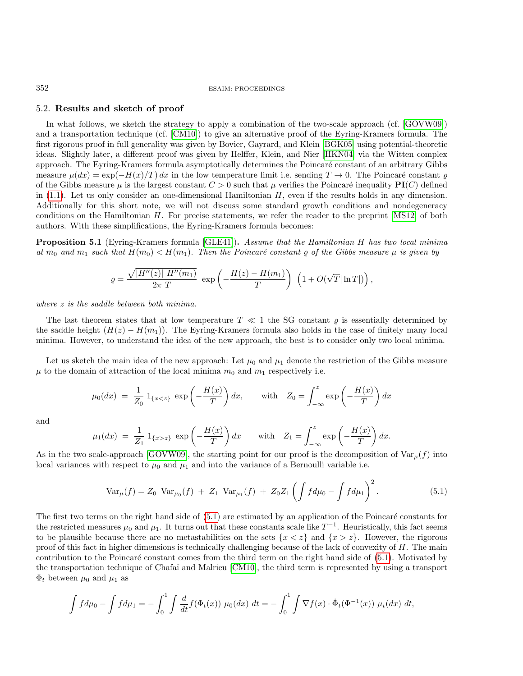### 5.2. Results and sketch of proof

In what follows, we sketch the strategy to apply a combination of the two-scale approach (cf. [\[GOVW09\]](#page-16-34)) and a transportation technique (cf. [\[CM10\]](#page-15-13)) to give an alternative proof of the Eyring-Kramers formula. The first rigorous proof in full generality was given by Bovier, Gayrard, and Klein [\[BGK05\]](#page-15-14) using potential-theoretic ideas. Slightly later, a different proof was given by Helffer, Klein, and Nier [\[HKN04\]](#page-16-35) via the Witten complex approach. The Eyring-Kramers formula asymptotically determines the Poincaré constant of an arbitrary Gibbs measure  $\mu(dx) = \exp(-H(x)/T) dx$  in the low temperature limit i.e. sending  $T \to 0$ . The Poincaré constant  $\rho$ of the Gibbs measure  $\mu$  is the largest constant  $C > 0$  such that  $\mu$  verifies the Poincaré inequality  $PI(C)$  defined in  $(1.1)$ . Let us only consider an one-dimensional Hamiltonian  $H$ , even if the results holds in any dimension. Additionally for this short note, we will not discuss some standard growth conditions and nondegeneracy conditions on the Hamiltonian H. For precise statements, we refer the reader to the preprint [\[MS12\]](#page-16-13) of both authors. With these simplifications, the Eyring-Kramers formula becomes:

Proposition 5.1 (Eyring-Kramers formula [\[GLE41\]](#page-16-14)). Assume that the Hamiltonian H has two local minima at m<sub>0</sub> and m<sub>1</sub> such that  $H(m_0) < H(m_1)$ . Then the Poincaré constant  $\varrho$  of the Gibbs measure  $\mu$  is given by

$$
\varrho = \frac{\sqrt{\left|H''(z)\right| \; H''(m_1)}}{2\pi \; T} \; \exp\left(-\frac{H(z)-H(m_1)}{T}\right) \; \left(1+O(\sqrt{T}|\ln T|)\right),
$$

where  $z$  is the saddle between both minima.

The last theorem states that at low temperature  $T \ll 1$  the SG constant  $\rho$  is essentially determined by the saddle height  $(H(z) - H(m_1))$ . The Eyring-Kramers formula also holds in the case of finitely many local minima. However, to understand the idea of the new approach, the best is to consider only two local minima.

Let us sketch the main idea of the new approach: Let  $\mu_0$  and  $\mu_1$  denote the restriction of the Gibbs measure  $\mu$  to the domain of attraction of the local minima  $m_0$  and  $m_1$  respectively i.e.

$$
\mu_0(dx) = \frac{1}{Z_0} 1_{\{x < z\}} \exp\left(-\frac{H(x)}{T}\right) dx, \quad \text{with} \quad Z_0 = \int_{-\infty}^z \exp\left(-\frac{H(x)}{T}\right) dx
$$

and

$$
\mu_1(dx) = \frac{1}{Z_1} 1_{\{x > z\}} \exp\left(-\frac{H(x)}{T}\right) dx \quad \text{with} \quad Z_1 = \int_{-\infty}^z \exp\left(-\frac{H(x)}{T}\right) dx.
$$

As in the two scale-approach [\[GOVW09\]](#page-16-34), the starting point for our proof is the decomposition of  $\text{Var}_{\mu}(f)$  into local variances with respect to  $\mu_0$  and  $\mu_1$  and into the variance of a Bernoulli variable i.e.

<span id="page-14-0"></span>
$$
\text{Var}_{\mu}(f) = Z_0 \text{ Var}_{\mu_0}(f) + Z_1 \text{ Var}_{\mu_1}(f) + Z_0 Z_1 \left( \int f d\mu_0 - \int f d\mu_1 \right)^2. \tag{5.1}
$$

The first two terms on the right hand side of  $(5.1)$  are estimated by an application of the Poincaré constants for the restricted measures  $\mu_0$  and  $\mu_1$ . It turns out that these constants scale like  $T^{-1}$ . Heuristically, this fact seems to be plausible because there are no metastabilities on the sets  $\{x < z\}$  and  $\{x > z\}$ . However, the rigorous proof of this fact in higher dimensions is technically challenging because of the lack of convexity of H. The main contribution to the Poincaré constant comes from the third term on the right hand side of [\(5.1\)](#page-14-0). Motivated by the transportation technique of Chafaï and Malrieu [\[CM10\]](#page-15-13), the third term is represented by using a transport  $\Phi_t$  between  $\mu_0$  and  $\mu_1$  as

$$
\int f d\mu_0 - \int f d\mu_1 = - \int_0^1 \int \frac{d}{dt} f(\Phi_t(x)) \mu_0(dx) dt = - \int_0^1 \int \nabla f(x) \cdot \dot{\Phi}_t(\Phi^{-1}(x)) \mu_t(dx) dt,
$$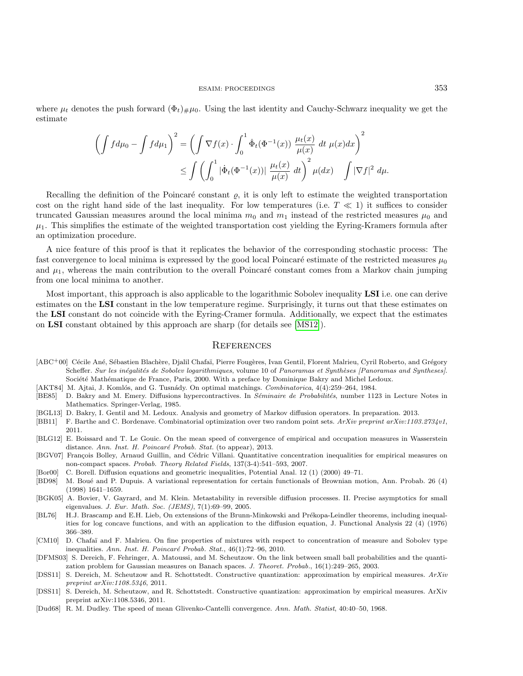where  $\mu_t$  denotes the push forward  $(\Phi_t)_\#\mu_0$ . Using the last identity and Cauchy-Schwarz inequality we get the estimate

$$
\left(\int f d\mu_0 - \int f d\mu_1\right)^2 = \left(\int \nabla f(x) \cdot \int_0^1 \dot{\Phi}_t(\Phi^{-1}(x)) \frac{\mu_t(x)}{\mu(x)} dt \mu(x) dx\right)^2
$$
  

$$
\leq \int \left(\int_0^1 |\dot{\Phi}_t(\Phi^{-1}(x))| \frac{\mu_t(x)}{\mu(x)} dt\right)^2 \mu(dx) \int |\nabla f|^2 d\mu.
$$

Recalling the definition of the Poincaré constant  $\varrho$ , it is only left to estimate the weighted transportation cost on the right hand side of the last inequality. For low temperatures (i.e.  $T \ll 1$ ) it suffices to consider truncated Gaussian measures around the local minima  $m_0$  and  $m_1$  instead of the restricted measures  $\mu_0$  and  $\mu_1$ . This simplifies the estimate of the weighted transportation cost yielding the Eyring-Kramers formula after an optimization procedure.

A nice feature of this proof is that it replicates the behavior of the corresponding stochastic process: The fast convergence to local minima is expressed by the good local Poincaré estimate of the restricted measures  $\mu_0$ and  $\mu_1$ , whereas the main contribution to the overall Poincaré constant comes from a Markov chain jumping from one local minima to another.

Most important, this approach is also applicable to the logarithmic Sobolev inequality LSI i.e. one can derive estimates on the LSI constant in the low temperature regime. Surprisingly, it turns out that these estimates on the LSI constant do not coincide with the Eyring-Cramer formula. Additionally, we expect that the estimates on LSI constant obtained by this approach are sharp (for details see [\[MS12\]](#page-16-13)).

### **REFERENCES**

- <span id="page-15-1"></span>[ABC+00] Cécile Ané, Sébastien Blachère, Djalil Chafaï, Pierre Fougères, Ivan Gentil, Florent Malrieu, Cyril Roberto, and Grégory Scheffer. Sur les inégalités de Sobolev logarithmiques, volume 10 of Panoramas et Synthèses [Panoramas and Syntheses]. Société Mathématique de France, Paris, 2000. With a preface by Dominique Bakry and Michel Ledoux.
- <span id="page-15-5"></span>[AKT84] M. Ajtai, J. Komlós, and G. Tusnády. On optimal matchings. Combinatorica, 4(4):259–264, 1984.
- <span id="page-15-0"></span>[BE85] D. Bakry and M. Emery. Diffusions hypercontractives. In Séminaire de Probabilités, number 1123 in Lecture Notes in Mathematics. Springer-Verlag, 1985.
- <span id="page-15-2"></span>[BGL13] D. Bakry, I. Gentil and M. Ledoux. Analysis and geometry of Markov diffusion operators. In preparation. 2013.
- <span id="page-15-6"></span>[BB11] F. Barthe and C. Bordenave. Combinatorial optimization over two random point sets. ArXiv preprint arXiv:1103.2734v1, 2011.
- <span id="page-15-3"></span>[BLG12] E. Boissard and T. Le Gouic. On the mean speed of convergence of empirical and occupation measures in Wasserstein distance. Ann. Inst. H. Poincaré Probab. Stat. (to appear), 2013.
- <span id="page-15-7"></span>[BGV07] François Bolley, Arnaud Guillin, and Cédric Villani. Quantitative concentration inequalities for empirical measures on non-compact spaces. Probab. Theory Related Fields, 137(3-4):541–593, 2007.
- <span id="page-15-11"></span>[Bor00] C. Borell. Diffusion equations and geometric inequalities, Potential Anal. 12 (1) (2000) 49–71.
- <span id="page-15-10"></span>[BD98] M. Boué and P. Dupuis. A variational representation for certain functionals of Brownian motion, Ann. Probab. 26 (4) (1998) 1641–1659.
- <span id="page-15-14"></span>[BGK05] A. Bovier, V. Gayrard, and M. Klein. Metastability in reversible diffusion processes. II. Precise asymptotics for small eigenvalues. J. Eur. Math. Soc. (JEMS), 7(1):69–99, 2005.
- <span id="page-15-12"></span>[BL76] H.J. Brascamp and E.H. Lieb, On extensions of the Brunn-Minkowski and Prékopa-Leindler theorems, including inequalities for log concave functions, and with an application to the diffusion equation, J. Functional Analysis 22 (4) (1976) 366–389.
- <span id="page-15-13"></span>[CM10] D. Chafaï and F. Malrieu. On fine properties of mixtures with respect to concentration of measure and Sobolev type inequalities. Ann. Inst. H. Poincaré Probab. Stat., 46(1):72–96, 2010.
- <span id="page-15-8"></span>[DFMS03] S. Dereich, F. Fehringer, A. Matoussi, and M. Scheutzow. On the link between small ball probabilities and the quantization problem for Gaussian measures on Banach spaces. J. Theoret. Probab., 16(1):249–265, 2003.
- <span id="page-15-9"></span>[DSS11] S. Dereich, M. Scheutzow and R. Schottstedt. Constructive quantization: approximation by empirical measures. ArXiv preprint arXiv:1108.5346, 2011.
- [DSS11] S. Dereich, M. Scheutzow, and R. Schottstedt. Constructive quantization: approximation by empirical measures. ArXiv preprint arXiv:1108.5346, 2011.
- <span id="page-15-4"></span>[Dud68] R. M. Dudley. The speed of mean Glivenko-Cantelli convergence. Ann. Math. Statist, 40:40–50, 1968.